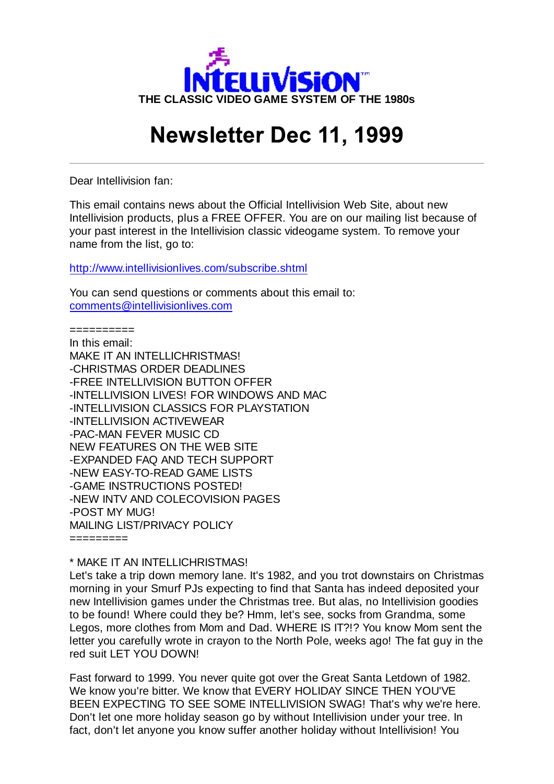

# **Newsletter Dec 11, 1999**

Dear Intellivision fan:

This email contains news about the Official Intellivision Web Site, about new Intellivision products, plus a FREE OFFER. You are on our mailing list because of your past interest in the Intellivision classic videogame system. To remove your name from the list, go to:

http://www.intellivisionlives.com/subscribe.shtml

You can send questions or comments about this email to: comments@intellivisionlives.com

==========

In this email: MAKE IT AN INTELLICHRISTMAS! -CHRISTMAS ORDER DEADLINES -FREE INTELLIVISION BUTTON OFFER -INTELLIVISION LIVES! FOR WINDOWS AND MAC -INTELLIVISION CLASSICS FOR PLAYSTATION -INTELLIVISION ACTIVEWEAR -PAC-MAN FEVER MUSIC CD NEW FEATURES ON THE WEB SITE -EXPANDED FAQ AND TECH SUPPORT -NEW EASY-TO-READ GAME LISTS -GAME INSTRUCTIONS POSTED! -NEW INTV AND COLECOVISION PAGES -POST MY MUG! MAILING LIST/PRIVACY POLICY =========

\* MAKE IT AN INTELLICHRISTMAS!

Let's take a trip down memory lane. It's 1982, and you trot downstairs on Christmas morning in your Smurf PJs expecting to find that Santa has indeed deposited your new Intellivision games under the Christmas tree. But alas, no Intellivision goodies to be found! Where could they be? Hmm, let's see, socks from Grandma, some Legos, more clothes from Mom and Dad. WHERE IS IT?!? You know Mom sent the letter you carefully wrote in crayon to the North Pole, weeks ago! The fat guy in the red suit LET YOU DOWN!

Fast forward to 1999. You never quite got over the Great Santa Letdown of 1982. We know you're bitter. We know that EVERY HOLIDAY SINCE THEN YOU'VE BEEN EXPECTING TO SEE SOME INTELLIVISION SWAG! That's why we're here. Don't let one more holiday season go by without Intellivision under your tree. In fact, don't let anyone you know suffer another holiday without Intellivision! You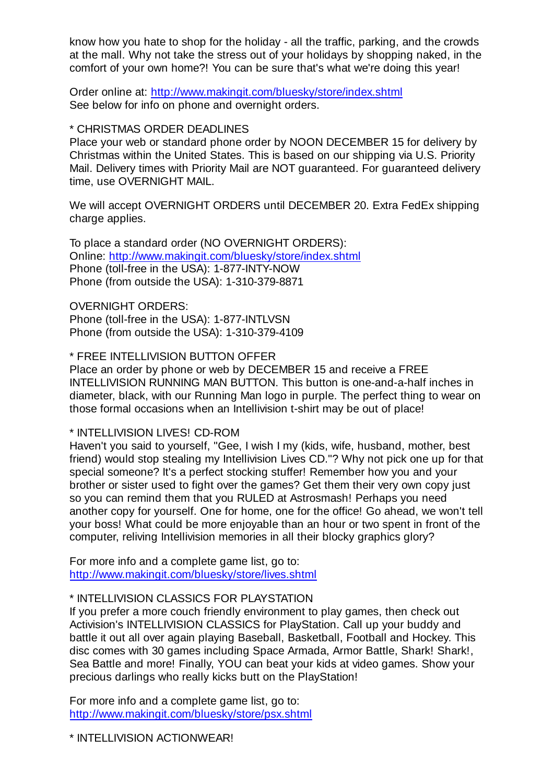know how you hate to shop for the holiday - all the traffic, parking, and the crowds at the mall. Why not take the stress out of your holidays by shopping naked, in the comfort of your own home?! You can be sure that's what we're doing this year!

Order online at: http://www.makingit.com/bluesky/store/index.shtml See below for info on phone and overnight orders.

### \* CHRISTMAS ORDER DEADLINES

Place your web or standard phone order by NOON DECEMBER 15 for delivery by Christmas within the United States. This is based on our shipping via U.S. Priority Mail. Delivery times with Priority Mail are NOT guaranteed. For guaranteed delivery time, use OVERNIGHT MAIL.

We will accept OVERNIGHT ORDERS until DECEMBER 20. Extra FedEx shipping charge applies.

To place a standard order (NO OVERNIGHT ORDERS): Online: http://www.makingit.com/bluesky/store/index.shtml Phone (toll-free in the USA): 1-877-INTY-NOW Phone (from outside the USA): 1-310-379-8871

OVERNIGHT ORDERS:

Phone (toll-free in the USA): 1-877-INTLVSN Phone (from outside the USA): 1-310-379-4109

\* FREE INTELLIVISION BUTTON OFFER

Place an order by phone or web by DECEMBER 15 and receive a FREE INTELLIVISION RUNNING MAN BUTTON. This button is one-and-a-half inches in diameter, black, with our Running Man logo in purple. The perfect thing to wear on those formal occasions when an Intellivision t-shirt may be out of place!

\* INTELLIVISION LIVES! CD-ROM

Haven't you said to yourself, "Gee, I wish I my (kids, wife, husband, mother, best friend) would stop stealing my Intellivision Lives CD."? Why not pick one up for that special someone? It's a perfect stocking stuffer! Remember how you and your brother or sister used to fight over the games? Get them their very own copy just so you can remind them that you RULED at Astrosmash! Perhaps you need another copy for yourself. One for home, one for the office! Go ahead, we won't tell your boss! What could be more enjoyable than an hour or two spent in front of the computer, reliving Intellivision memories in all their blocky graphics glory?

For more info and a complete game list, go to: http://www.makingit.com/bluesky/store/lives.shtml

## \* INTELLIVISION CLASSICS FOR PLAYSTATION

If you prefer a more couch friendly environment to play games, then check out Activision's INTELLIVISION CLASSICS for PlayStation. Call up your buddy and battle it out all over again playing Baseball, Basketball, Football and Hockey. This disc comes with 30 games including Space Armada, Armor Battle, Shark! Shark!, Sea Battle and more! Finally, YOU can beat your kids at video games. Show your precious darlings who really kicks butt on the PlayStation!

For more info and a complete game list, go to: http://www.makingit.com/bluesky/store/psx.shtml

\* INTELLIVISION ACTIONWEAR!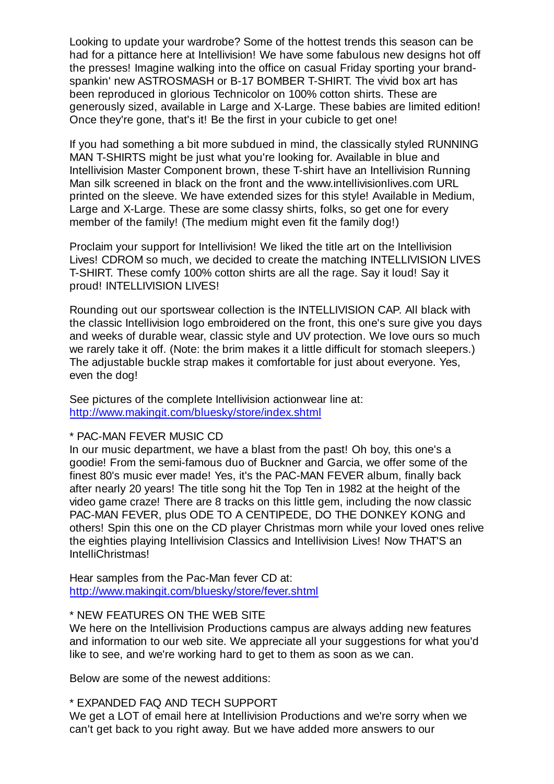Looking to update your wardrobe? Some of the hottest trends this season can be had for a pittance here at Intellivision! We have some fabulous new designs hot off the presses! Imagine walking into the office on casual Friday sporting your brandspankin' new ASTROSMASH or B-17 BOMBER T-SHIRT. The vivid box art has been reproduced in glorious Technicolor on 100% cotton shirts. These are generously sized, available in Large and X-Large. These babies are limited edition! Once they're gone, that's it! Be the first in your cubicle to get one!

If you had something a bit more subdued in mind, the classically styled RUNNING MAN T-SHIRTS might be just what you're looking for. Available in blue and Intellivision Master Component brown, these T-shirt have an Intellivision Running Man silk screened in black on the front and the www.intellivisionlives.com URL printed on the sleeve. We have extended sizes for this style! Available in Medium, Large and X-Large. These are some classy shirts, folks, so get one for every member of the family! (The medium might even fit the family dog!)

Proclaim your support for Intellivision! We liked the title art on the Intellivision Lives! CDROM so much, we decided to create the matching INTELLIVISION LIVES T-SHIRT. These comfy 100% cotton shirts are all the rage. Say it loud! Say it proud! INTELLIVISION LIVES!

Rounding out our sportswear collection is the INTELLIVISION CAP. All black with the classic Intellivision logo embroidered on the front, this one's sure give you days and weeks of durable wear, classic style and UV protection. We love ours so much we rarely take it off. (Note: the brim makes it a little difficult for stomach sleepers.) The adjustable buckle strap makes it comfortable for just about everyone. Yes, even the dog!

See pictures of the complete Intellivision actionwear line at: http://www.makingit.com/bluesky/store/index.shtml

### \* PAC-MAN FEVER MUSIC CD

In our music department, we have a blast from the past! Oh boy, this one's a goodie! From the semi-famous duo of Buckner and Garcia, we offer some of the finest 80's music ever made! Yes, it's the PAC-MAN FEVER album, finally back after nearly 20 years! The title song hit the Top Ten in 1982 at the height of the video game craze! There are 8 tracks on this little gem, including the now classic PAC-MAN FEVER, plus ODE TO A CENTIPEDE, DO THE DONKEY KONG and others! Spin this one on the CD player Christmas morn while your loved ones relive the eighties playing Intellivision Classics and Intellivision Lives! Now THAT'S an IntelliChristmas!

Hear samples from the Pac-Man fever CD at: http://www.makingit.com/bluesky/store/fever.shtml

#### \* NEW FEATURES ON THE WEB SITE

We here on the Intellivision Productions campus are always adding new features and information to our web site. We appreciate all your suggestions for what you'd like to see, and we're working hard to get to them as soon as we can.

Below are some of the newest additions:

### \* EXPANDED FAQ AND TECH SUPPORT

We get a LOT of email here at Intellivision Productions and we're sorry when we can't get back to you right away. But we have added more answers to our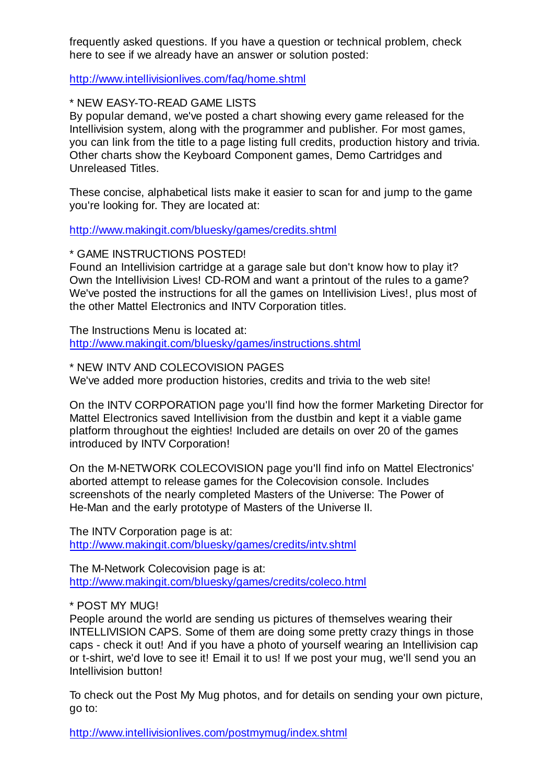frequently asked questions. If you have a question or technical problem, check here to see if we already have an answer or solution posted:

http://www.intellivisionlives.com/faq/home.shtml

\* NEW EASY-TO-READ GAME LISTS

By popular demand, we've posted a chart showing every game released for the Intellivision system, along with the programmer and publisher. For most games, you can link from the title to a page listing full credits, production history and trivia. Other charts show the Keyboard Component games, Demo Cartridges and Unreleased Titles.

These concise, alphabetical lists make it easier to scan for and jump to the game you're looking for. They are located at:

http://www.makingit.com/bluesky/games/credits.shtml

\* GAME INSTRUCTIONS POSTED!

Found an Intellivision cartridge at a garage sale but don't know how to play it? Own the Intellivision Lives! CD-ROM and want a printout of the rules to a game? We've posted the instructions for all the games on Intellivision Lives!, plus most of the other Mattel Electronics and INTV Corporation titles.

The Instructions Menu is located at: http://www.makingit.com/bluesky/games/instructions.shtml

\* NEW INTV AND COLECOVISION PAGES

We've added more production histories, credits and trivia to the web site!

On the INTV CORPORATION page you'll find how the former Marketing Director for Mattel Electronics saved Intellivision from the dustbin and kept it a viable game platform throughout the eighties! Included are details on over 20 of the games introduced by INTV Corporation!

On the M-NETWORK COLECOVISION page you'll find info on Mattel Electronics' aborted attempt to release games for the Colecovision console. Includes screenshots of the nearly completed Masters of the Universe: The Power of He-Man and the early prototype of Masters of the Universe II.

The INTV Corporation page is at: http://www.makingit.com/bluesky/games/credits/intv.shtml

The M-Network Colecovision page is at: http://www.makingit.com/bluesky/games/credits/coleco.html

\* POST MY MUG!

People around the world are sending us pictures of themselves wearing their INTELLIVISION CAPS. Some of them are doing some pretty crazy things in those caps - check it out! And if you have a photo of yourself wearing an Intellivision cap or t-shirt, we'd love to see it! Email it to us! If we post your mug, we'll send you an Intellivision button!

To check out the Post My Mug photos, and for details on sending your own picture, go to:

http://www.intellivisionlives.com/postmymug/index.shtml